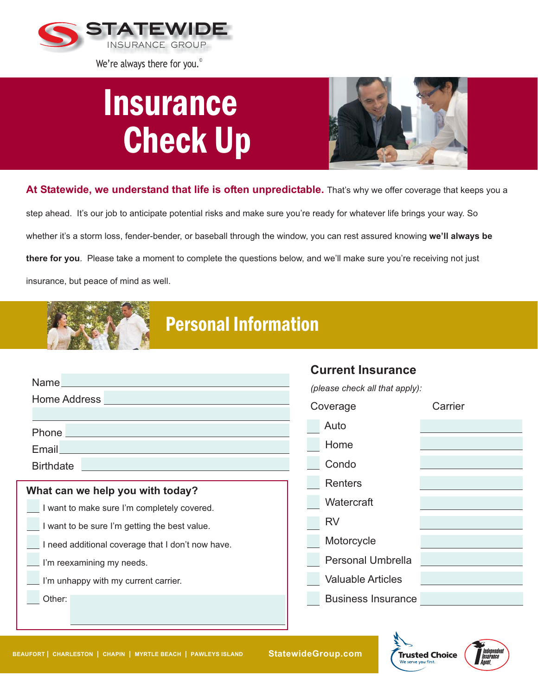

We're always there for you.<sup>®</sup>

## **Insurance** Check Up



**At Statewide, we understand that life is often unpredictable.** That's why we offer coverage that keeps you a

step ahead. It's our job to anticipate potential risks and make sure you're ready for whatever life brings your way. So whether it's a storm loss, fender-bender, or baseball through the window, you can rest assured knowing **we'll always be there for you**. Please take a moment to complete the questions below, and we'll make sure you're receiving not just insurance, but peace of mind as well.



## Personal Information

|                                                                      | <b>Current Insurance</b>       |
|----------------------------------------------------------------------|--------------------------------|
| Name_                                                                | (please check all that apply): |
| Home Address                                                         | Coverage<br>Carrier            |
|                                                                      | Auto                           |
| Email<br><u> 1989 - Johann Stoff, Amerikaansk politiker († 1908)</u> | Home                           |
| <b>Birthdate</b>                                                     | Condo                          |
| What can we help you with today?                                     | <b>Renters</b>                 |
| I want to make sure I'm completely covered.                          | Watercraft                     |
| I want to be sure I'm getting the best value.                        | <b>RV</b>                      |
| I need additional coverage that I don't now have.                    | Motorcycle                     |
| I'm reexamining my needs.                                            | <b>Personal Umbrella</b>       |
| I'm unhappy with my current carrier.                                 | <b>Valuable Articles</b>       |
| Other:                                                               | <b>Business Insurance</b>      |
|                                                                      |                                |
|                                                                      |                                |